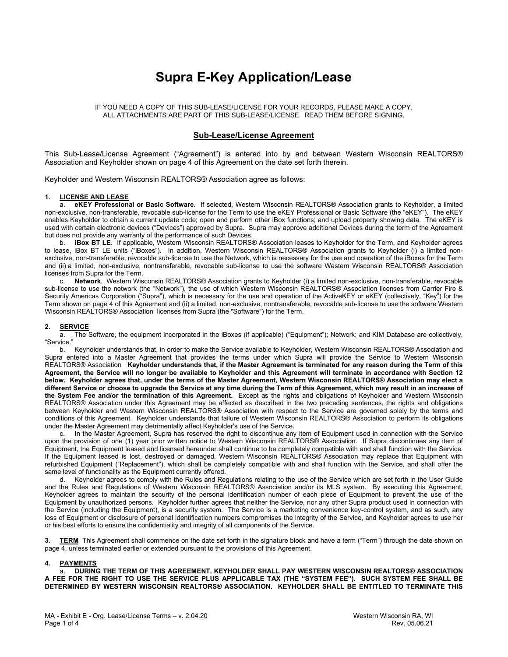# **Supra E-Key Application/Lease**

IF YOU NEED A COPY OF THIS SUB-LEASE/LICENSE FOR YOUR RECORDS, PLEASE MAKE A COPY. ALL ATTACHMENTS ARE PART OF THIS SUB-LEASE/LICENSE. READ THEM BEFORE SIGNING.

# **Sub-Lease/License Agreement**

This Sub-Lease/License Agreement ("Agreement") is entered into by and between Western Wisconsin REALTORS® Association and Keyholder shown on page 4 of this Agreement on the date set forth therein.

Keyholder and Western Wisconsin REALTORS® Association agree as follows:

# **1. LICENSE AND LEASE**

a. **eKEY Professional or Basic Software**. If selected, Western Wisconsin REALTORS® Association grants to Keyholder, a limited non-exclusive, non-transferable, revocable sub-license for the Term to use the eKEY Professional or Basic Software (the "eKEY"). The eKEY enables Keyholder to obtain a current update code; open and perform other iBox functions; and upload property showing data. The eKEY is used with certain electronic devices ("Devices") approved by Supra. Supra may approve additional Devices during the term of the Agreement but does not provide any warranty of the performance of such Devices.

iBox BT LE. If applicable, Western Wisconsin REALTORS® Association leases to Keyholder for the Term, and Keyholder agrees to lease, iBox BT LE units ("iBoxes"). In addition, Western Wisconsin REALTORS® Association grants to Keyholder (i) a limited nonexclusive, non-transferable, revocable sub-license to use the Network, which is necessary for the use and operation of the iBoxes for the Term and (ii) a limited, non-exclusive, nontransferable, revocable sub-license to use the software Western Wisconsin REALTORS® Association licenses from Supra for the Term.

c. **Network**. Western Wisconsin REALTORS® Association grants to Keyholder (i) a limited non-exclusive, non-transferable, revocable sub-license to use the network (the "Network"), the use of which Western Wisconsin REALTORS® Association licenses from Carrier Fire & Security Americas Corporation ("Supra"), which is necessary for the use and operation of the ActiveKEY or eKEY (collectively, "Key") for the Term shown on page 4 of this Agreement and (ii) a limited, non-exclusive, nontransferable, revocable sub-license to use the software Western Wisconsin REALTORS® Association licenses from Supra (the "Software") for the Term.

# **2. SERVICE**

a. The Software, the equipment incorporated in the iBoxes (if applicable) ("Equipment"); Network; and KIM Database are collectively, "Service."

b. Keyholder understands that, in order to make the Service available to Keyholder, Western Wisconsin REALTORS® Association and Supra entered into a Master Agreement that provides the terms under which Supra will provide the Service to Western Wisconsin REALTORS® Association **Keyholder understands that, if the Master Agreement is terminated for any reason during the Term of this Agreement, the Service will no longer be available to Keyholder and this Agreement will terminate in accordance with Section 12 below. Keyholder agrees that, under the terms of the Master Agreement, Western Wisconsin REALTORS® Association may elect a different Service or choose to upgrade the Service at any time during the Term of this Agreement, which may result in an increase of the System Fee and/or the termination of this Agreement.** Except as the rights and obligations of Keyholder and Western Wisconsin REALTORS® Association under this Agreement may be affected as described in the two preceding sentences, the rights and obligations between Keyholder and Western Wisconsin REALTORS® Association with respect to the Service are governed solely by the terms and conditions of this Agreement. Keyholder understands that failure of Western Wisconsin REALTORS® Association to perform its obligations under the Master Agreement may detrimentally affect Keyholder's use of the Service.

In the Master Agreement, Supra has reserved the right to discontinue any item of Equipment used in connection with the Service upon the provision of one (1) year prior written notice to Western Wisconsin REALTORS® Association. If Supra discontinues any item of Equipment, the Equipment leased and licensed hereunder shall continue to be completely compatible with and shall function with the Service. If the Equipment leased is lost, destroyed or damaged, Western Wisconsin REALTORS® Association may replace that Equipment with refurbished Equipment ("Replacement"), which shall be completely compatible with and shall function with the Service, and shall offer the same level of functionality as the Equipment currently offered.

d. Keyholder agrees to comply with the Rules and Regulations relating to the use of the Service which are set forth in the User Guide and the Rules and Regulations of Western Wisconsin REALTORS® Association and/or its MLS system. By executing this Agreement, Keyholder agrees to maintain the security of the personal identification number of each piece of Equipment to prevent the use of the Equipment by unauthorized persons. Keyholder further agrees that neither the Service, nor any other Supra product used in connection with the Service (including the Equipment), is a security system. The Service is a marketing convenience key-control system, and as such, any loss of Equipment or disclosure of personal identification numbers compromises the integrity of the Service, and Keyholder agrees to use her or his best efforts to ensure the confidentiality and integrity of all components of the Service.

**<u>TERM</u>** This Agreement shall commence on the date set forth in the signature block and have a term ("Term") through the date shown on page 4, unless terminated earlier or extended pursuant to the provisions of this Agreement.

# **4. PAYMENTS**

a. **DURING THE TERM OF THIS AGREEMENT, KEYHOLDER SHALL PAY WESTERN WISCONSIN REALTORS® ASSOCIATION A FEE FOR THE RIGHT TO USE THE SERVICE PLUS APPLICABLE TAX (THE "SYSTEM FEE"). SUCH SYSTEM FEE SHALL BE DETERMINED BY WESTERN WISCONSIN REALTORS® ASSOCIATION. KEYHOLDER SHALL BE ENTITLED TO TERMINATE THIS**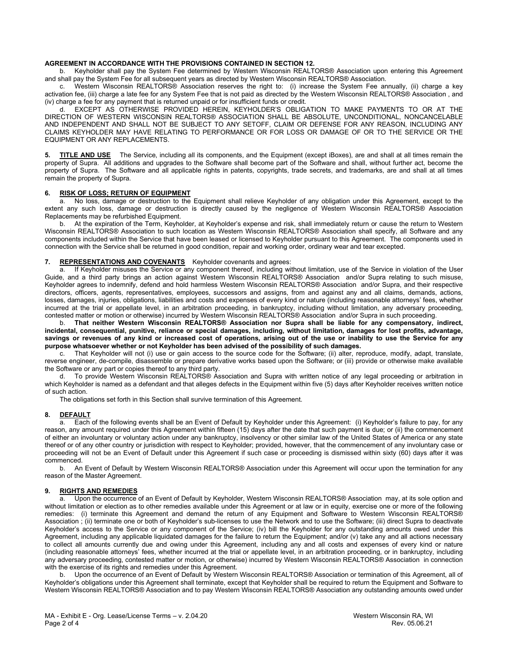# **AGREEMENT IN ACCORDANCE WITH THE PROVISIONS CONTAINED IN SECTION 12.**

b. Keyholder shall pay the System Fee determined by Western Wisconsin REALTORS® Association upon entering this Agreement and shall pay the System Fee for all subsequent years as directed by Western Wisconsin REALTORS® Association.

Western Wisconsin REALTORS® Association reserves the right to: (i) increase the System Fee annually, (ii) charge a key activation fee, (iii) charge a late fee for any System Fee that is not paid as directed by the Western Wisconsin REALTORS® Association , and (iv) charge a fee for any payment that is returned unpaid or for insufficient funds or credit.

EXCEPT AS OTHERWISE PROVIDED HEREIN, KEYHOLDER'S OBLIGATION TO MAKE PAYMENTS TO OR AT THE DIRECTION OF WESTERN WISCONSIN REALTORS® ASSOCIATION SHALL BE ABSOLUTE, UNCONDITIONAL, NONCANCELABLE AND INDEPENDENT AND SHALL NOT BE SUBJECT TO ANY SETOFF, CLAIM OR DEFENSE FOR ANY REASON, INCLUDING ANY CLAIMS KEYHOLDER MAY HAVE RELATING TO PERFORMANCE OR FOR LOSS OR DAMAGE OF OR TO THE SERVICE OR THE EQUIPMENT OR ANY REPLACEMENTS.

**5. TITLE AND USE** The Service, including all its components, and the Equipment (except iBoxes), are and shall at all times remain the property of Supra. All additions and upgrades to the Software shall become part of the Software and shall, without further act, become the property of Supra. The Software and all applicable rights in patents, copyrights, trade secrets, and trademarks, are and shall at all times remain the property of Supra.

# **6. RISK OF LOSS; RETURN OF EQUIPMENT**

No loss, damage or destruction to the Equipment shall relieve Keyholder of any obligation under this Agreement, except to the extent any such loss, damage or destruction is directly caused by the negligence of Western Wisconsin REALTORS® Association Replacements may be refurbished Equipment.

b. At the expiration of the Term, Keyholder, at Keyholder's expense and risk, shall immediately return or cause the return to Western Wisconsin REALTORS® Association to such location as Western Wisconsin REALTORS® Association shall specify, all Software and any components included within the Service that have been leased or licensed to Keyholder pursuant to this Agreement. The components used in connection with the Service shall be returned in good condition, repair and working order, ordinary wear and tear excepted.

# **7. REPRESENTATIONS AND COVENANTS** Keyholder covenants and agrees:

a. If Keyholder misuses the Service or any component thereof, including without limitation, use of the Service in violation of the User Guide, and a third party brings an action against Western Wisconsin REALTORS® Association and/or Supra relating to such misuse, Keyholder agrees to indemnify, defend and hold harmless Western Wisconsin REALTORS® Association and/or Supra, and their respective directors, officers, agents, representatives, employees, successors and assigns, from and against any and all claims, demands, actions, losses, damages, injuries, obligations, liabilities and costs and expenses of every kind or nature (including reasonable attorneys' fees, whether incurred at the trial or appellate level, in an arbitration proceeding, in bankruptcy, including without limitation, any adversary proceeding, contested matter or motion or otherwise) incurred by Western Wisconsin REALTORS® Association and/or Supra in such proceeding.

b. **That neither Western Wisconsin REALTORS® Association nor Supra shall be liable for any compensatory, indirect, incidental, consequential, punitive, reliance or special damages, including, without limitation, damages for lost profits, advantage, savings or revenues of any kind or increased cost of operations, arising out of the use or inability to use the Service for any purpose whatsoever whether or not Keyholder has been advised of the possibility of such damages.**

c. That Keyholder will not (i) use or gain access to the source code for the Software; (ii) alter, reproduce, modify, adapt, translate, reverse engineer, de-compile, disassemble or prepare derivative works based upon the Software; or (iii) provide or otherwise make available the Software or any part or copies thereof to any third party.

d. To provide Western Wisconsin REALTORS® Association and Supra with written notice of any legal proceeding or arbitration in which Keyholder is named as a defendant and that alleges defects in the Equipment within five (5) days after Keyholder receives written notice of such action.

The obligations set forth in this Section shall survive termination of this Agreement.

#### **8. DEFAULT**

a. Each of the following events shall be an Event of Default by Keyholder under this Agreement: (i) Keyholder's failure to pay, for any reason, any amount required under this Agreement within fifteen (15) days after the date that such payment is due; or (ii) the commencement of either an involuntary or voluntary action under any bankruptcy, insolvency or other similar law of the United States of America or any state thereof or of any other country or jurisdiction with respect to Keyholder; provided, however, that the commencement of any involuntary case or proceeding will not be an Event of Default under this Agreement if such case or proceeding is dismissed within sixty (60) days after it was commenced.

b. An Event of Default by Western Wisconsin REALTORS® Association under this Agreement will occur upon the termination for any reason of the Master Agreement.

#### **9. RIGHTS AND REMEDIES**

a. Upon the occurrence of an Event of Default by Keyholder, Western Wisconsin REALTORS® Association may, at its sole option and without limitation or election as to other remedies available under this Agreement or at law or in equity, exercise one or more of the following remedies: (i) terminate this Agreement and demand the return of any Equipment and Software to Western Wisconsin REALTORS® Association ; (ii) terminate one or both of Keyholder's sub-licenses to use the Network and to use the Software; (iii) direct Supra to deactivate Keyholder's access to the Service or any component of the Service; (iv) bill the Keyholder for any outstanding amounts owed under this Agreement, including any applicable liquidated damages for the failure to return the Equipment; and/or (v) take any and all actions necessary to collect all amounts currently due and owing under this Agreement, including any and all costs and expenses of every kind or nature (including reasonable attorneys' fees, whether incurred at the trial or appellate level, in an arbitration proceeding, or in bankruptcy, including any adversary proceeding, contested matter or motion, or otherwise) incurred by Western Wisconsin REALTORS® Association in connection with the exercise of its rights and remedies under this Agreement.

Upon the occurrence of an Event of Default by Western Wisconsin REALTORS® Association or termination of this Agreement, all of Keyholder's obligations under this Agreement shall terminate, except that Keyholder shall be required to return the Equipment and Software to Western Wisconsin REALTORS® Association and to pay Western Wisconsin REALTORS® Association any outstanding amounts owed under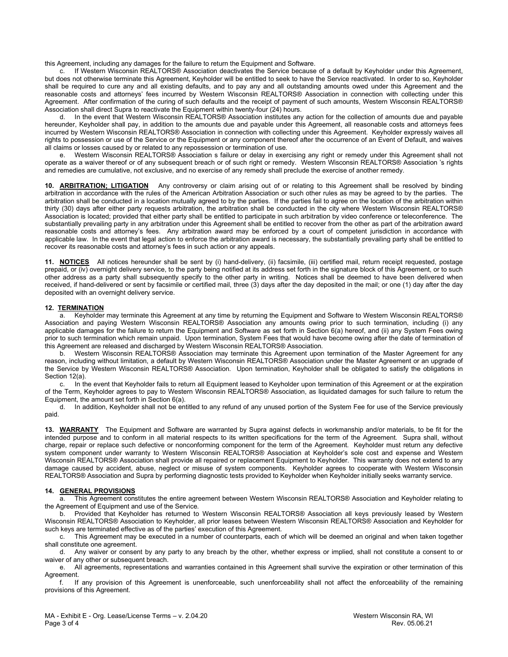this Agreement, including any damages for the failure to return the Equipment and Software.

c. If Western Wisconsin REALTORS® Association deactivates the Service because of a default by Keyholder under this Agreement, but does not otherwise terminate this Agreement, Keyholder will be entitled to seek to have the Service reactivated. In order to so, Keyholder shall be required to cure any and all existing defaults, and to pay any and all outstanding amounts owed under this Agreement and the reasonable costs and attorneys' fees incurred by Western Wisconsin REALTORS® Association in connection with collecting under this Agreement. After confirmation of the curing of such defaults and the receipt of payment of such amounts, Western Wisconsin REALTORS® Association shall direct Supra to reactivate the Equipment within twenty-four (24) hours.

d. In the event that Western Wisconsin REALTORS® Association institutes any action for the collection of amounts due and payable hereunder, Keyholder shall pay, in addition to the amounts due and payable under this Agreement, all reasonable costs and attorneys fees incurred by Western Wisconsin REALTORS® Association in connection with collecting under this Agreement. Keyholder expressly waives all rights to possession or use of the Service or the Equipment or any component thereof after the occurrence of an Event of Default, and waives all claims or losses caused by or related to any repossession or termination of use.

e. Western Wisconsin REALTORS® Association s failure or delay in exercising any right or remedy under this Agreement shall not operate as a waiver thereof or of any subsequent breach or of such right or remedy. Western Wisconsin REALTORS® Association 's rights and remedies are cumulative, not exclusive, and no exercise of any remedy shall preclude the exercise of another remedy.

**10. ARBITRATION; LITIGATION** Any controversy or claim arising out of or relating to this Agreement shall be resolved by binding arbitration in accordance with the rules of the American Arbitration Association or such other rules as may be agreed to by the parties. The arbitration shall be conducted in a location mutually agreed to by the parties. If the parties fail to agree on the location of the arbitration within thirty (30) days after either party requests arbitration, the arbitration shall be conducted in the city where Western Wisconsin REALTORS® Association is located; provided that either party shall be entitled to participate in such arbitration by video conference or teleconference. The substantially prevailing party in any arbitration under this Agreement shall be entitled to recover from the other as part of the arbitration award reasonable costs and attorney's fees. Any arbitration award may be enforced by a court of competent jurisdiction in accordance with applicable law. In the event that legal action to enforce the arbitration award is necessary, the substantially prevailing party shall be entitled to recover its reasonable costs and attorney's fees in such action or any appeals.

**11. NOTICES** All notices hereunder shall be sent by (i) hand-delivery, (ii) facsimile, (iii) certified mail, return receipt requested, postage prepaid, or (iv) overnight delivery service, to the party being notified at its address set forth in the signature block of this Agreement, or to such other address as a party shall subsequently specify to the other party in writing. Notices shall be deemed to have been delivered when received, if hand-delivered or sent by facsimile or certified mail, three (3) days after the day deposited in the mail; or one (1) day after the day deposited with an overnight delivery service.

# **12. TERMINATION**

a. Keyholder may terminate this Agreement at any time by returning the Equipment and Software to Western Wisconsin REALTORS® Association and paying Western Wisconsin REALTORS® Association any amounts owing prior to such termination, including (i) any applicable damages for the failure to return the Equipment and Software as set forth in Section 6(a) hereof, and (ii) any System Fees owing prior to such termination which remain unpaid. Upon termination, System Fees that would have become owing after the date of termination of this Agreement are released and discharged by Western Wisconsin REALTORS® Association.

b. Western Wisconsin REALTORS® Association may terminate this Agreement upon termination of the Master Agreement for any reason, including without limitation, a default by Western Wisconsin REALTORS® Association under the Master Agreement or an upgrade of the Service by Western Wisconsin REALTORS® Association. Upon termination, Keyholder shall be obligated to satisfy the obligations in Section 12(a).

c. In the event that Keyholder fails to return all Equipment leased to Keyholder upon termination of this Agreement or at the expiration of the Term, Keyholder agrees to pay to Western Wisconsin REALTORS® Association, as liquidated damages for such failure to return the Equipment, the amount set forth in Section 6(a).

d. In addition, Keyholder shall not be entitled to any refund of any unused portion of the System Fee for use of the Service previously paid.

**13. WARRANTY** The Equipment and Software are warranted by Supra against defects in workmanship and/or materials, to be fit for the intended purpose and to conform in all material respects to its written specifications for the term of the Agreement. Supra shall, without charge, repair or replace such defective or nonconforming component for the term of the Agreement. Keyholder must return any defective system component under warranty to Western Wisconsin REALTORS® Association at Keyholder's sole cost and expense and Western Wisconsin REALTORS® Association shall provide all repaired or replacement Equipment to Keyholder. This warranty does not extend to any damage caused by accident, abuse, neglect or misuse of system components. Keyholder agrees to cooperate with Western Wisconsin REALTORS® Association and Supra by performing diagnostic tests provided to Keyholder when Keyholder initially seeks warranty service.

# **14. GENERAL PROVISIONS**

a. This Agreement constitutes the entire agreement between Western Wisconsin REALTORS® Association and Keyholder relating to the Agreement of Equipment and use of the Service.

b. Provided that Keyholder has returned to Western Wisconsin REALTORS® Association all keys previously leased by Western Wisconsin REALTORS® Association to Keyholder, all prior leases between Western Wisconsin REALTORS® Association and Keyholder for such keys are terminated effective as of the parties' execution of this Agreement.

c. This Agreement may be executed in a number of counterparts, each of which will be deemed an original and when taken together shall constitute one agreement.

d. Any waiver or consent by any party to any breach by the other, whether express or implied, shall not constitute a consent to or waiver of any other or subsequent breach.

e. All agreements, representations and warranties contained in this Agreement shall survive the expiration or other termination of this Agreement.<br>f If

If any provision of this Agreement is unenforceable, such unenforceability shall not affect the enforceability of the remaining provisions of this Agreement.